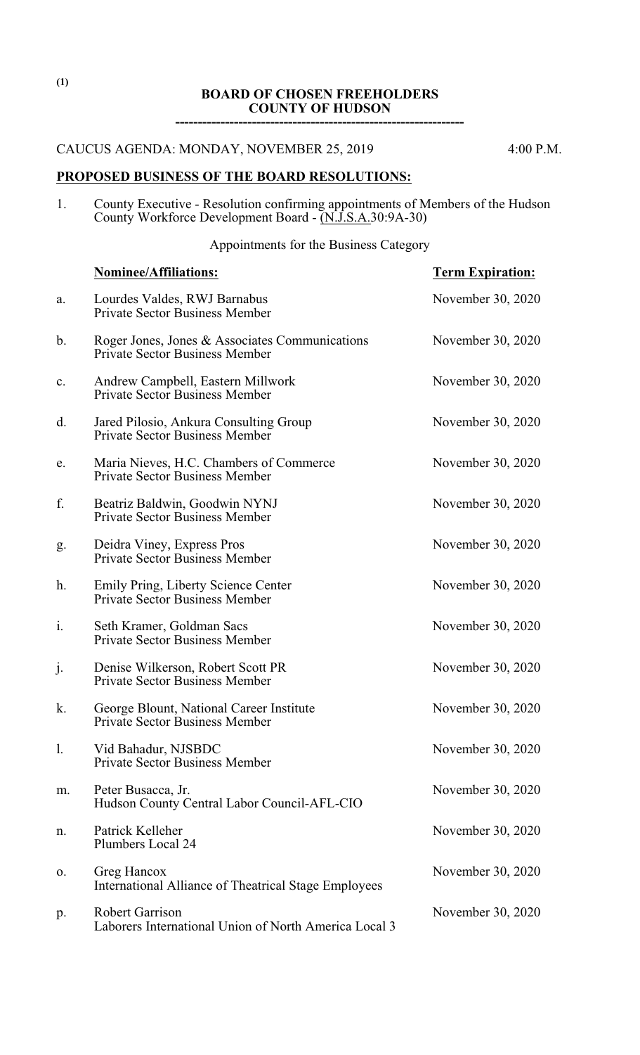### **BOARD OF CHOSEN FREEHOLDERS COUNTY OF HUDSON**

**----------------------------------------------------------------**

CAUCUS AGENDA: MONDAY, NOVEMBER 25, 2019 4:00 P.M.

# **PROPOSED BUSINESS OF THE BOARD RESOLUTIONS:**

1. County Executive - Resolution confirming appointments of Members of the Hudson County Workforce Development Board - (N.J.S.A.30:9A-30)

Appointments for the Business Category

|                | <b>Nominee/Affiliations:</b>                                                            | <b>Term Expiration:</b> |
|----------------|-----------------------------------------------------------------------------------------|-------------------------|
| a.             | Lourdes Valdes, RWJ Barnabus<br><b>Private Sector Business Member</b>                   | November 30, 2020       |
| $\mathbf b$ .  | Roger Jones, Jones & Associates Communications<br><b>Private Sector Business Member</b> | November 30, 2020       |
| $\mathbf{c}$ . | Andrew Campbell, Eastern Millwork<br><b>Private Sector Business Member</b>              | November 30, 2020       |
| d.             | Jared Pilosio, Ankura Consulting Group<br><b>Private Sector Business Member</b>         | November 30, 2020       |
| e.             | Maria Nieves, H.C. Chambers of Commerce<br><b>Private Sector Business Member</b>        | November 30, 2020       |
| f.             | Beatriz Baldwin, Goodwin NYNJ<br><b>Private Sector Business Member</b>                  | November 30, 2020       |
| g.             | Deidra Viney, Express Pros<br><b>Private Sector Business Member</b>                     | November 30, 2020       |
| h.             | Emily Pring, Liberty Science Center<br><b>Private Sector Business Member</b>            | November 30, 2020       |
| i.             | Seth Kramer, Goldman Sacs<br><b>Private Sector Business Member</b>                      | November 30, 2020       |
| j.             | Denise Wilkerson, Robert Scott PR<br><b>Private Sector Business Member</b>              | November 30, 2020       |
| k.             | George Blount, National Career Institute<br><b>Private Sector Business Member</b>       | November 30, 2020       |
| 1.             | Vid Bahadur, NJSBDC<br><b>Private Sector Business Member</b>                            | November 30, 2020       |
| m.             | Peter Busacca, Jr.<br>Hudson County Central Labor Council-AFL-CIO                       | November 30, 2020       |
| n.             | Patrick Kelleher<br>Plumbers Local 24                                                   | November 30, 2020       |
| 0.             | Greg Hancox<br><b>International Alliance of Theatrical Stage Employees</b>              | November 30, 2020       |
| p.             | <b>Robert Garrison</b><br>Laborers International Union of North America Local 3         | November 30, 2020       |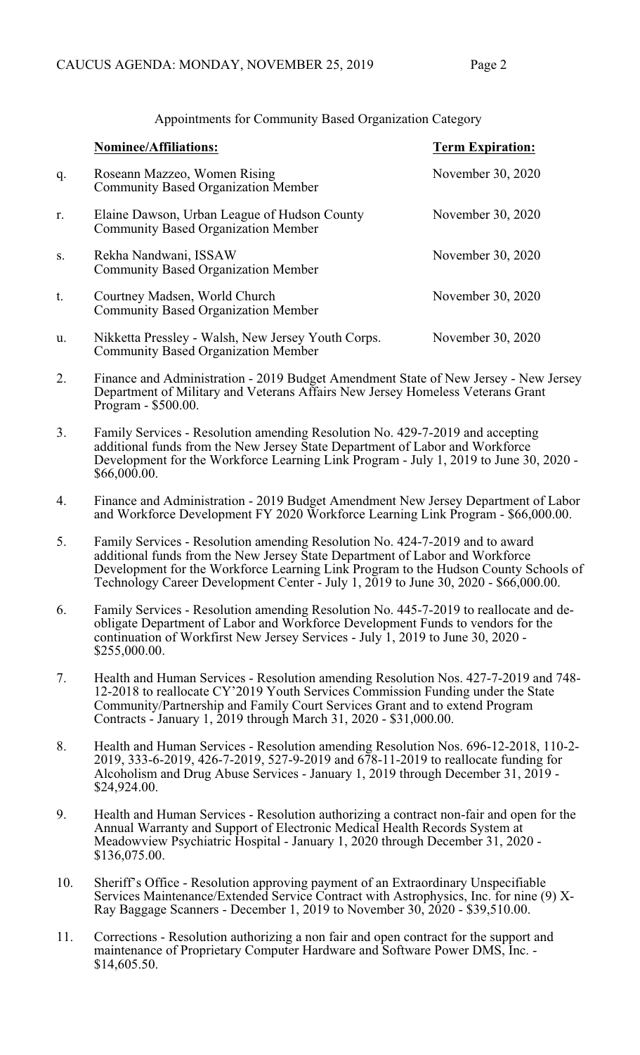|    | <b>Nominee/Affiliations:</b>                                                                     | <b>Term Expiration:</b> |
|----|--------------------------------------------------------------------------------------------------|-------------------------|
| q. | Roseann Mazzeo, Women Rising<br><b>Community Based Organization Member</b>                       | November 30, 2020       |
| r. | Elaine Dawson, Urban League of Hudson County<br><b>Community Based Organization Member</b>       | November 30, 2020       |
| S. | Rekha Nandwani, ISSAW<br><b>Community Based Organization Member</b>                              | November 30, 2020       |
| t. | Courtney Madsen, World Church<br><b>Community Based Organization Member</b>                      | November 30, 2020       |
| u. | Nikketta Pressley - Walsh, New Jersey Youth Corps.<br><b>Community Based Organization Member</b> | November 30, 2020       |

Appointments for Community Based Organization Category

- 2. Finance and Administration 2019 Budget Amendment State of New Jersey New Jersey Department of Military and Veterans Affairs New Jersey Homeless Veterans Grant Program - \$500.00.
- 3. Family Services Resolution amending Resolution No. 429-7-2019 and accepting additional funds from the New Jersey State Department of Labor and Workforce Development for the Workforce Learning Link Program - July 1, 2019 to June 30, 2020 - \$66,000.00.
- 4. Finance and Administration 2019 Budget Amendment New Jersey Department of Labor and Workforce Development FY 2020 Workforce Learning Link Program - \$66,000.00.
- 5. Family Services Resolution amending Resolution No. 424-7-2019 and to award additional funds from the New Jersey State Department of Labor and Workforce Development for the Workforce Learning Link Program to the Hudson County Schools of Technology Career Development Center - July 1,  $2019$  to June 30, 2020 - \$66,000.00.
- 6. Family Services Resolution amending Resolution No. 445-7-2019 to reallocate and deobligate Department of Labor and Workforce Development Funds to vendors for the continuation of Workfirst New Jersey Services - July 1, 2019 to June 30, 2020 - \$255,000.00.
- 7. Health and Human Services Resolution amending Resolution Nos. 427-7-2019 and 748- 12-2018 to reallocate CY'2019 Youth Services Commission Funding under the State Community/Partnership and Family Court Services Grant and to extend Program Contracts - January 1, 2019 through March 31, 2020 - \$31,000.00.
- 8. Health and Human Services Resolution amending Resolution Nos. 696-12-2018, 110-2- 2019, 333-6-2019, 426-7-2019, 527-9-2019 and 678-11-2019 to reallocate funding for Alcoholism and Drug Abuse Services - January 1, 2019 through December 31, 2019 - \$24,924.00.
- 9. Health and Human Services Resolution authorizing a contract non-fair and open for the Annual Warranty and Support of Electronic Medical Health Records System at Meadowview Psychiatric Hospital - January 1, 2020 through December 31, 2020 - \$136,075.00.
- 10. Sheriff's Office Resolution approving payment of an Extraordinary Unspecifiable Services Maintenance/Extended Service Contract with Astrophysics, Inc. for nine (9) X-Ray Baggage Scanners - December 1, 2019 to November 30, 2020 - \$39,510.00.
- 11. Corrections Resolution authorizing a non fair and open contract for the support and maintenance of Proprietary Computer Hardware and Software Power DMS, Inc. - \$14,605.50.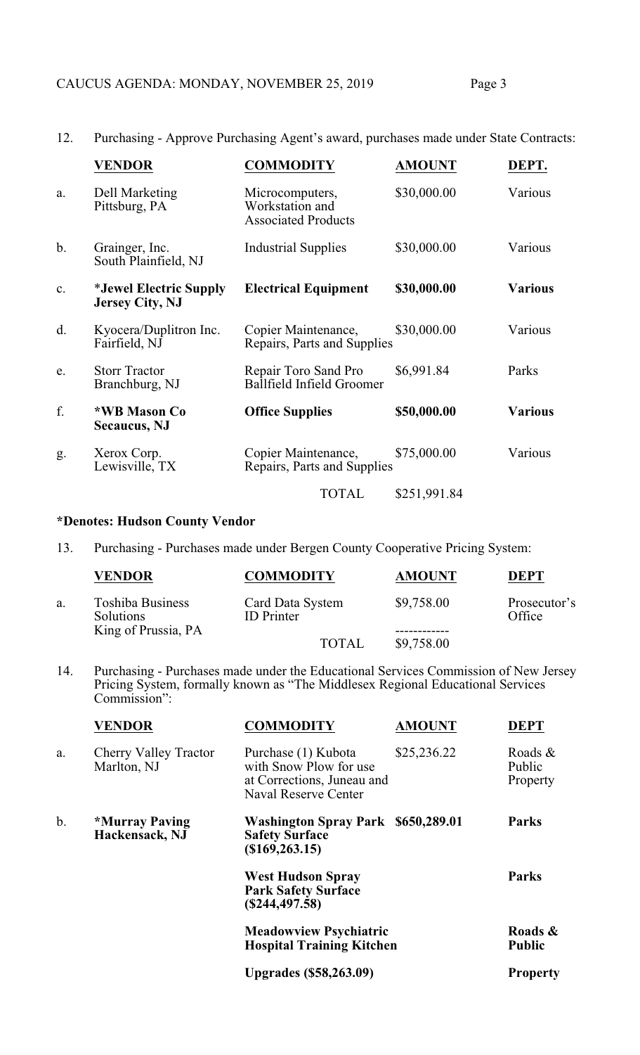12. Purchasing - Approve Purchasing Agent's award, purchases made under State Contracts:

|               | <b>VENDOR</b>                                    | <b>COMMODITY</b>                                                 | <b>AMOUNT</b> | DEPT.          |
|---------------|--------------------------------------------------|------------------------------------------------------------------|---------------|----------------|
| a.            | Dell Marketing<br>Pittsburg, PA                  | Microcomputers,<br>Workstation and<br><b>Associated Products</b> | \$30,000.00   | Various        |
| $\mathbf b$ . | Grainger, Inc.<br>South Plainfield, NJ           | <b>Industrial Supplies</b>                                       | \$30,000.00   | Various        |
| c.            | *Jewel Electric Supply<br><b>Jersey City, NJ</b> | <b>Electrical Equipment</b>                                      | \$30,000.00   | <b>Various</b> |
| d.            | Kyocera/Duplitron Inc.<br>Fairfield, NJ          | Copier Maintenance,<br>Repairs, Parts and Supplies               | \$30,000.00   | Various        |
| e.            | <b>Storr Tractor</b><br>Branchburg, NJ           | Repair Toro Sand Pro<br><b>Ballfield Infield Groomer</b>         | \$6,991.84    | Parks          |
| f.            | *WB Mason Co<br><b>Secaucus</b> , NJ             | <b>Office Supplies</b>                                           | \$50,000.00   | <b>Various</b> |
| g.            | Xerox Corp.<br>Lewisville, TX                    | Copier Maintenance,<br>Repairs, Parts and Supplies               | \$75,000.00   | Various        |
|               |                                                  | <b>TOTAL</b>                                                     | \$251,991.84  |                |

# **\*Denotes: Hudson County Vendor**

13. Purchasing - Purchases made under Bergen County Cooperative Pricing System:

|    | <b>VENDOR</b>                                                      | <b>COMMODITY</b>                      | <b>AMOUNT</b> | <b>DEPT</b>            |
|----|--------------------------------------------------------------------|---------------------------------------|---------------|------------------------|
| a. | <b>Toshiba Business</b><br><b>Solutions</b><br>King of Prussia, PA | Card Data System<br><b>ID</b> Printer | \$9,758.00    | Prosecutor's<br>Office |
|    |                                                                    | <b>TOTAL</b>                          | \$9,758.00    |                        |

14. Purchasing - Purchases made under the Educational Services Commission of New Jersey Pricing System, formally known as "The Middlesex Regional Educational Services Commission":

|               | <b>VENDOR</b>                                  | <b>COMMODITY</b>                                                                                           | <b>AMOUNT</b> | <b>DEPT</b>                      |
|---------------|------------------------------------------------|------------------------------------------------------------------------------------------------------------|---------------|----------------------------------|
| a.            | Cherry Valley Tractor<br>Marlton, NJ           | Purchase (1) Kubota<br>with Snow Plow for use<br>at Corrections, Juneau and<br><b>Naval Reserve Center</b> | \$25,236.22   | Roads $\&$<br>Public<br>Property |
| $\mathbf b$ . | <i><b>*Murray Paving</b></i><br>Hackensack, NJ | Washington Spray Park \$650,289.01<br><b>Safety Surface</b><br>(\$169, 263.15)                             |               | <b>Parks</b>                     |
|               |                                                | <b>West Hudson Spray</b><br><b>Park Safety Surface</b><br>(S244, 497.58)                                   |               | <b>Parks</b>                     |
|               |                                                | <b>Meadowview Psychiatric</b><br><b>Hospital Training Kitchen</b>                                          |               | Roads &<br><b>Public</b>         |
|               |                                                | <b>Upgrades (\$58,263.09)</b>                                                                              |               | <b>Property</b>                  |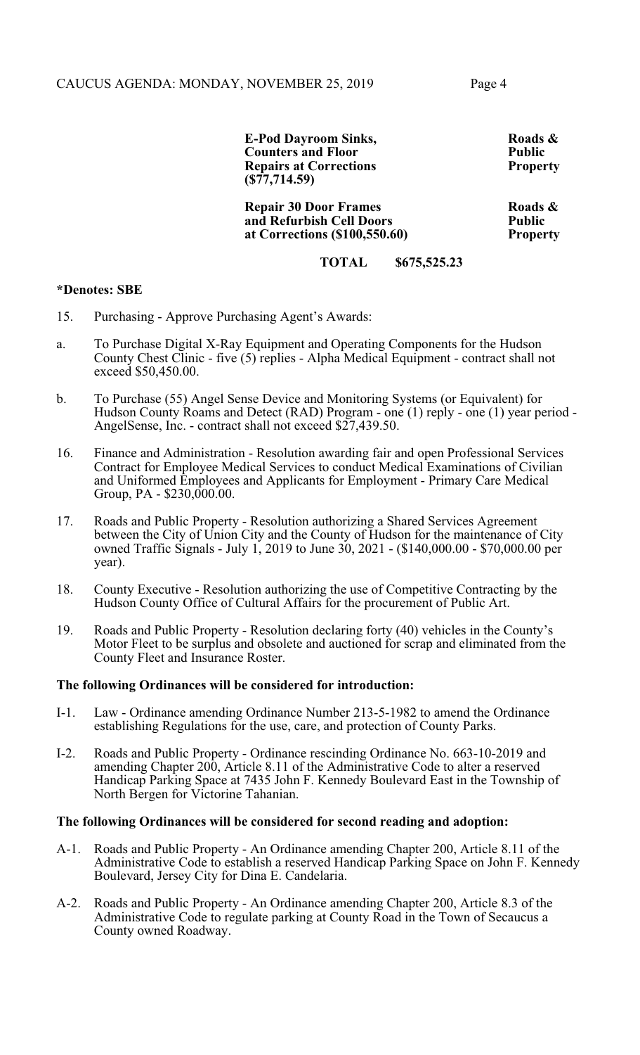**E-Pod Dayroom Sinks, Roads & Roads & Roads & Roads & Roads & Roads & Roads & Roads & Roads & Roads & Roads & Roads & Roads & Roads & Roads & Roads & Roads & Roads & Roads & Roads & Roads & Roads & Roads & Roads & Roads & Counters and Floor Public Repairs at Corrections (\$77,714.59)**

**Repair 30 Door Frames Roads &**<br> **Roads & Roads A Rublic and Refurbish Cell Doors Public at Corrections (\$100,550.60)** Property **at Corrections (\$100,550.60) Property** 

**TOTAL \$675,525.23**

#### **\*Denotes: SBE**

- 15. Purchasing Approve Purchasing Agent's Awards:
- a. To Purchase Digital X-Ray Equipment and Operating Components for the Hudson County Chest Clinic - five (5) replies - Alpha Medical Equipment - contract shall not exceed \$50,450.00.
- b. To Purchase (55) Angel Sense Device and Monitoring Systems (or Equivalent) for Hudson County Roams and Detect (RAD) Program - one (1) reply - one (1) year period - AngelSense, Inc. - contract shall not exceed \$27,439.50.
- 16. Finance and Administration Resolution awarding fair and open Professional Services Contract for Employee Medical Services to conduct Medical Examinations of Civilian and Uniformed Employees and Applicants for Employment - Primary Care Medical Group, PA -  $$230,000.00$ .
- 17. Roads and Public Property Resolution authorizing a Shared Services Agreement between the City of Union City and the County of Hudson for the maintenance of City owned Traffic Signals - July 1, 2019 to June 30, 2021 - (\$140,000.00 - \$70,000.00 per year).
- 18. County Executive Resolution authorizing the use of Competitive Contracting by the Hudson County Office of Cultural Affairs for the procurement of Public Art.
- 19. Roads and Public Property Resolution declaring forty (40) vehicles in the County's Motor Fleet to be surplus and obsolete and auctioned for scrap and eliminated from the County Fleet and Insurance Roster.

#### **The following Ordinances will be considered for introduction:**

- I-1. Law Ordinance amending Ordinance Number 213-5-1982 to amend the Ordinance establishing Regulations for the use, care, and protection of County Parks.
- I-2. Roads and Public Property Ordinance rescinding Ordinance No. 663-10-2019 and amending Chapter 200, Article 8.11 of the Administrative Code to alter a reserved Handicap Parking Space at 7435 John F. Kennedy Boulevard East in the Township of North Bergen for Victorine Tahanian.

#### **The following Ordinances will be considered for second reading and adoption:**

- A-1. Roads and Public Property An Ordinance amending Chapter 200, Article 8.11 of the Administrative Code to establish a reserved Handicap Parking Space on John F. Kennedy Boulevard, Jersey City for Dina E. Candelaria.
- A-2. Roads and Public Property An Ordinance amending Chapter 200, Article 8.3 of the Administrative Code to regulate parking at County Road in the Town of Secaucus a County owned Roadway.